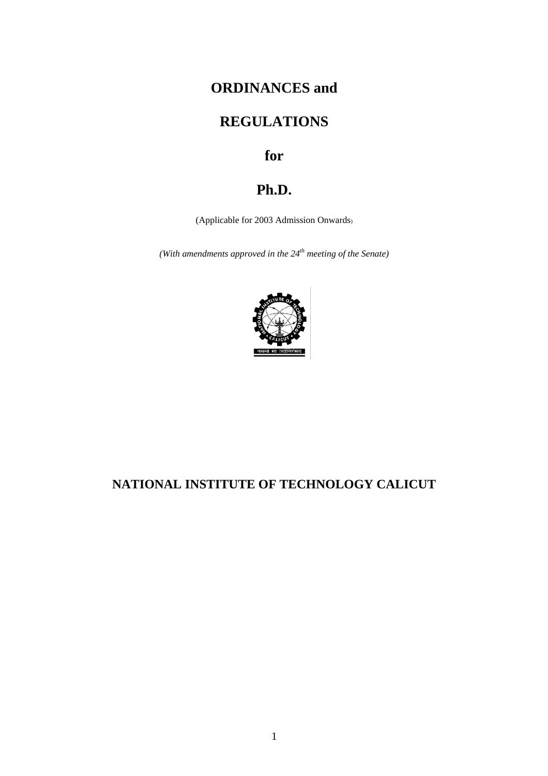# **ORDINANCES and**

# **REGULATIONS**

# **for**

# **Ph.D.**

(Applicable for 2003 Admission Onwards)

*(With amendments approved in the 24th meeting of the Senate)*



# **NATIONAL INSTITUTE OF TECHNOLOGY CALICUT**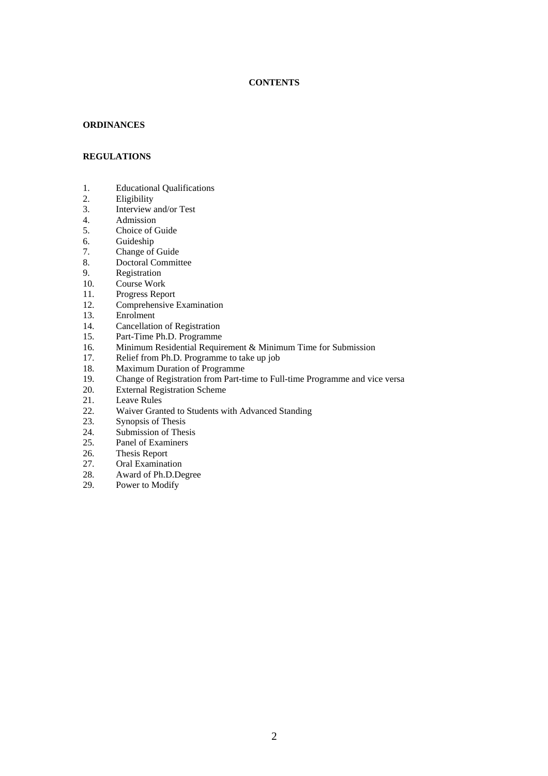#### **CONTENTS**

#### **ORDINANCES**

### **REGULATIONS**

- 1. Educational Qualifications<br>2. Eligibility
- **Eligibility**
- 3. Interview and/or Test
- 4. Admission<br>5. Choice of C
- Choice of Guide
- 6. Guideship<br>7. Change of
- 7. Change of Guide 8.
- Doctoral Committee
- 9. Registration<br>10. Course Worl
- Course Work
- 11. Progress Report
- 12. Comprehensive Examination
- 13. Enrolment
- 14. Cancellation of Registration
- 15. Part-Time Ph.D. Programme<br>16. Minimum Residential Requir
- 16. Minimum Residential Requirement & Minimum Time for Submission<br>17. Relief from Ph.D. Programme to take up job
- 17. Relief from Ph.D. Programme to take up job<br>18. Maximum Duration of Programme
- 18. Maximum Duration of Programme<br>19. Change of Registration from Part-ti
- 19. Change of Registration from Part-time to Full-time Programme and vice versa<br>20. External Registration Scheme
- 20. External Registration Scheme<br>21. Leave Rules
- 
- 21. Leave Rules<br>22. Waiver Gran 22. Waiver Granted to Students with Advanced Standing<br>23. Synopsis of Thesis
- Synopsis of Thesis
- 24. Submission of Thesis
- 25. Panel of Examiners
- 26. Thesis Report
- 27. Oral Examination<br>28. Award of Ph.D.De
- 28. Award of Ph.D.Degree<br>29. Power to Modify
- Power to Modify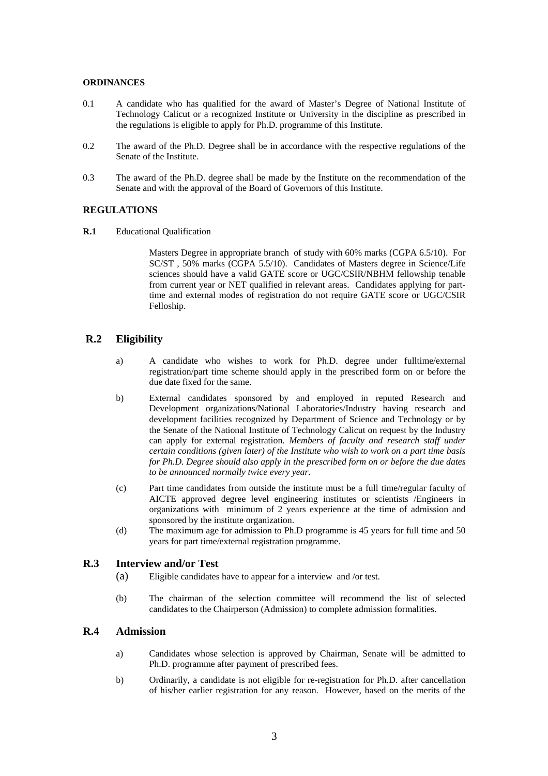#### **ORDINANCES**

- 0.1 A candidate who has qualified for the award of Master's Degree of National Institute of Technology Calicut or a recognized Institute or University in the discipline as prescribed in the regulations is eligible to apply for Ph.D. programme of this Institute.
- 0.2 The award of the Ph.D. Degree shall be in accordance with the respective regulations of the Senate of the Institute.
- 0.3 The award of the Ph.D. degree shall be made by the Institute on the recommendation of the Senate and with the approval of the Board of Governors of this Institute.

#### **REGULATIONS**

**R.1** Educational Qualification

Masters Degree in appropriate branch of study with 60% marks (CGPA 6.5/10). For SC/ST , 50% marks (CGPA 5.5/10). Candidates of Masters degree in Science/Life sciences should have a valid GATE score or UGC/CSIR/NBHM fellowship tenable from current year or NET qualified in relevant areas. Candidates applying for parttime and external modes of registration do not require GATE score or UGC/CSIR Felloship.

# **R.2 Eligibility**

- a) A candidate who wishes to work for Ph.D. degree under fulltime/external registration/part time scheme should apply in the prescribed form on or before the due date fixed for the same.
- b) External candidates sponsored by and employed in reputed Research and Development organizations/National Laboratories/Industry having research and development facilities recognized by Department of Science and Technology or by the Senate of the National Institute of Technology Calicut on request by the Industry can apply for external registration. *Members of faculty and research staff under certain conditions (given later) of the Institute who wish to work on a part time basis for Ph.D. Degree should also apply in the prescribed form on or before the due dates to be announced normally twice every year*.
- (c) Part time candidates from outside the institute must be a full time/regular faculty of AICTE approved degree level engineering institutes or scientists /Engineers in organizations with minimum of 2 years experience at the time of admission and sponsored by the institute organization.
- (d) The maximum age for admission to Ph.D programme is 45 years for full time and 50 years for part time/external registration programme.

# **R.3 Interview and/or Test**

- (a) Eligible candidates have to appear for a interview and /or test.
- (b) The chairman of the selection committee will recommend the list of selected candidates to the Chairperson (Admission) to complete admission formalities.

### **R.4 Admission**

- a) Candidates whose selection is approved by Chairman, Senate will be admitted to Ph.D. programme after payment of prescribed fees.
- b) Ordinarily, a candidate is not eligible for re-registration for Ph.D. after cancellation of his/her earlier registration for any reason. However, based on the merits of the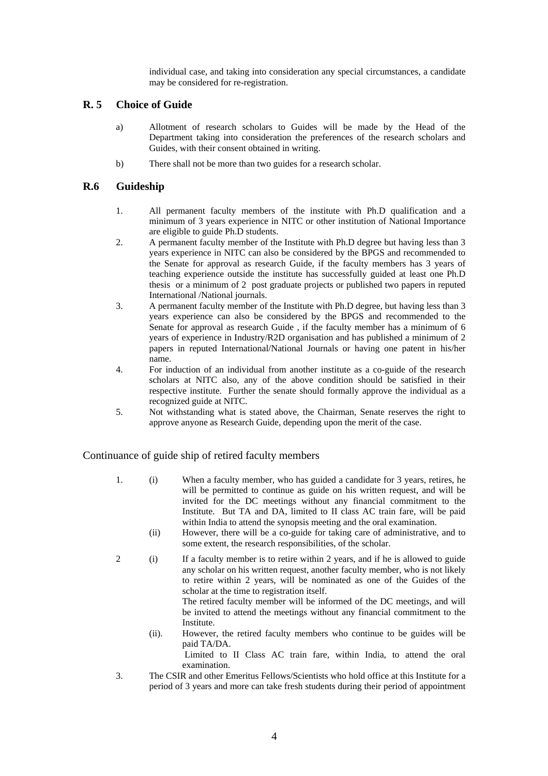individual case, and taking into consideration any special circumstances, a candidate may be considered for re-registration.

# **R. 5 Choice of Guide**

- a) Allotment of research scholars to Guides will be made by the Head of the Department taking into consideration the preferences of the research scholars and Guides, with their consent obtained in writing.
- b) There shall not be more than two guides for a research scholar.

# **R.6 Guideship**

- 1. All permanent faculty members of the institute with Ph.D qualification and a minimum of 3 years experience in NITC or other institution of National Importance are eligible to guide Ph.D students.
- 2. A permanent faculty member of the Institute with Ph.D degree but having less than 3 years experience in NITC can also be considered by the BPGS and recommended to the Senate for approval as research Guide, if the faculty members has 3 years of teaching experience outside the institute has successfully guided at least one Ph.D thesis or a minimum of 2 post graduate projects or published two papers in reputed International /National journals.
- 3. A permanent faculty member of the Institute with Ph.D degree, but having less than 3 years experience can also be considered by the BPGS and recommended to the Senate for approval as research Guide , if the faculty member has a minimum of 6 years of experience in Industry/R2D organisation and has published a minimum of 2 papers in reputed International/National Journals or having one patent in his/her name.
- 4. For induction of an individual from another institute as a co-guide of the research scholars at NITC also, any of the above condition should be satisfied in their respective institute. Further the senate should formally approve the individual as a recognized guide at NITC.
- 5. Not withstanding what is stated above, the Chairman, Senate reserves the right to approve anyone as Research Guide, depending upon the merit of the case.

Continuance of guide ship of retired faculty members

- 1. (i) When a faculty member, who has guided a candidate for 3 years, retires, he will be permitted to continue as guide on his written request, and will be invited for the DC meetings without any financial commitment to the Institute. But TA and DA, limited to II class AC train fare, will be paid within India to attend the synopsis meeting and the oral examination.
	- (ii) However, there will be a co-guide for taking care of administrative, and to some extent, the research responsibilities, of the scholar.
- 2 (i) If a faculty member is to retire within 2 years, and if he is allowed to guide any scholar on his written request, another faculty member, who is not likely to retire within 2 years, will be nominated as one of the Guides of the scholar at the time to registration itself.

The retired faculty member will be informed of the DC meetings, and will be invited to attend the meetings without any financial commitment to the Institute.

(ii). However, the retired faculty members who continue to be guides will be paid TA/DA.

Limited to II Class AC train fare, within India, to attend the oral examination.

3. The CSIR and other Emeritus Fellows/Scientists who hold office at this Institute for a period of 3 years and more can take fresh students during their period of appointment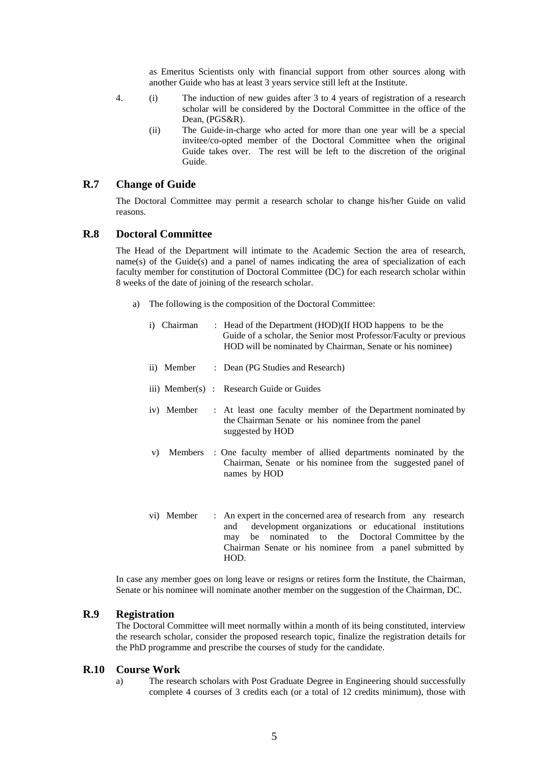as Emeritus Scientists only with financial support from other sources along with another Guide who has at least 3 years service still left at the Institute.

- 4. (i) The induction of new guides after 3 to 4 years of registration of a research scholar will be considered by the Doctoral Committee in the office of the Dean, (PGS&R).
	- (ii) The Guide-in-charge who acted for more than one year will be a special invitee/co-opted member of the Doctoral Committee when the original Guide takes over. The rest will be left to the discretion of the original Guide.

#### **R.7 Change of Guide**

The Doctoral Committee may permit a research scholar to change his/her Guide on valid reasons.

### **R.8 Doctoral Committee**

The Head of the Department will intimate to the Academic Section the area of research, name(s) of the Guide $(s)$  and a panel of names indicating the area of specialization of each faculty member for constitution of Doctoral Committee (DC) for each research scholar within 8 weeks of the date of joining of the research scholar.

- a) The following is the composition of the Doctoral Committee:
	- i) Chairman : Head of the Department (HOD)(If HOD happens to be the Guide of a scholar, the Senior most Professor/Faculty or previous HOD will be nominated by Chairman, Senate or his nominee)
	- ii) Member : Dean (PG Studies and Research)
	- iii) Member(s) : Research Guide or Guides
	- iv) Member : At least one faculty member of the Department nominated by the Chairman Senate or his nominee from the panel suggested by HOD
	- v) Members : One faculty member of allied departments nominated by the Chairman, Senate or his nominee from the suggested panel of names by HOD
	- vi) Member : An expert in the concerned area of research from any research and development organizations or educational institutions may be nominated to the Doctoral Committee by the Chairman Senate or his nominee from a panel submitted by HOD.

In case any member goes on long leave or resigns or retires form the Institute, the Chairman, Senate or his nominee will nominate another member on the suggestion of the Chairman, DC.

## **R.9 Registration**

The Doctoral Committee will meet normally within a month of its being constituted, interview the research scholar, consider the proposed research topic, finalize the registration details for the PhD programme and prescribe the courses of study for the candidate.

#### **R.10 Course Work**

a) The research scholars with Post Graduate Degree in Engineering should successfully complete 4 courses of 3 credits each (or a total of 12 credits minimum), those with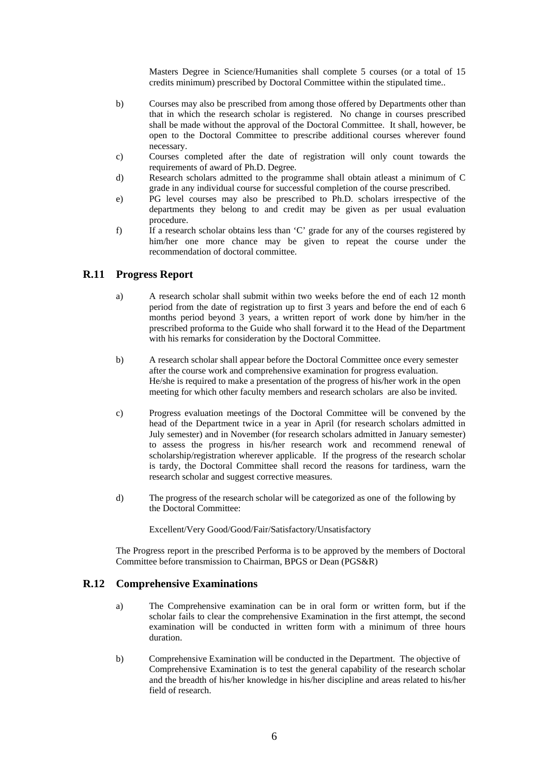Masters Degree in Science/Humanities shall complete 5 courses (or a total of 15 credits minimum) prescribed by Doctoral Committee within the stipulated time..

- b) Courses may also be prescribed from among those offered by Departments other than that in which the research scholar is registered. No change in courses prescribed shall be made without the approval of the Doctoral Committee. It shall, however, be open to the Doctoral Committee to prescribe additional courses wherever found necessary.
- c) Courses completed after the date of registration will only count towards the requirements of award of Ph.D. Degree.
- d) Research scholars admitted to the programme shall obtain atleast a minimum of C grade in any individual course for successful completion of the course prescribed.
- e) PG level courses may also be prescribed to Ph.D. scholars irrespective of the departments they belong to and credit may be given as per usual evaluation procedure.
- f) If a research scholar obtains less than 'C' grade for any of the courses registered by him/her one more chance may be given to repeat the course under the recommendation of doctoral committee.

# **R.11 Progress Report**

- a) A research scholar shall submit within two weeks before the end of each 12 month period from the date of registration up to first 3 years and before the end of each 6 months period beyond 3 years, a written report of work done by him/her in the prescribed proforma to the Guide who shall forward it to the Head of the Department with his remarks for consideration by the Doctoral Committee.
- b) A research scholar shall appear before the Doctoral Committee once every semester after the course work and comprehensive examination for progress evaluation. He/she is required to make a presentation of the progress of his/her work in the open meeting for which other faculty members and research scholars are also be invited.
- c) Progress evaluation meetings of the Doctoral Committee will be convened by the head of the Department twice in a year in April (for research scholars admitted in July semester) and in November (for research scholars admitted in January semester) to assess the progress in his/her research work and recommend renewal of scholarship/registration wherever applicable. If the progress of the research scholar is tardy, the Doctoral Committee shall record the reasons for tardiness, warn the research scholar and suggest corrective measures.
- d) The progress of the research scholar will be categorized as one of the following by the Doctoral Committee:

Excellent/Very Good/Good/Fair/Satisfactory/Unsatisfactory

The Progress report in the prescribed Performa is to be approved by the members of Doctoral Committee before transmission to Chairman, BPGS or Dean (PGS&R)

### **R.12 Comprehensive Examinations**

- a) The Comprehensive examination can be in oral form or written form, but if the scholar fails to clear the comprehensive Examination in the first attempt, the second examination will be conducted in written form with a minimum of three hours duration.
- b) Comprehensive Examination will be conducted in the Department. The objective of Comprehensive Examination is to test the general capability of the research scholar and the breadth of his/her knowledge in his/her discipline and areas related to his/her field of research.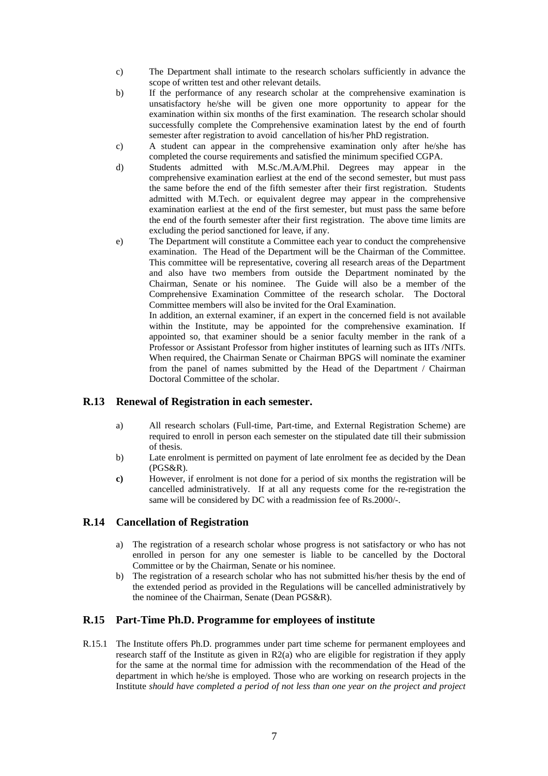- c) The Department shall intimate to the research scholars sufficiently in advance the scope of written test and other relevant details.
- b) If the performance of any research scholar at the comprehensive examination is unsatisfactory he/she will be given one more opportunity to appear for the examination within six months of the first examination. The research scholar should successfully complete the Comprehensive examination latest by the end of fourth semester after registration to avoid cancellation of his/her PhD registration.
- c) A student can appear in the comprehensive examination only after he/she has completed the course requirements and satisfied the minimum specified CGPA.
- d) Students admitted with M.Sc./M.A/M.Phil. Degrees may appear in the comprehensive examination earliest at the end of the second semester, but must pass the same before the end of the fifth semester after their first registration. Students admitted with M.Tech. or equivalent degree may appear in the comprehensive examination earliest at the end of the first semester, but must pass the same before the end of the fourth semester after their first registration. The above time limits are excluding the period sanctioned for leave, if any.
- e) The Department will constitute a Committee each year to conduct the comprehensive examination. The Head of the Department will be the Chairman of the Committee. This committee will be representative, covering all research areas of the Department and also have two members from outside the Department nominated by the Chairman, Senate or his nominee. The Guide will also be a member of the Comprehensive Examination Committee of the research scholar. The Doctoral Committee members will also be invited for the Oral Examination.

 In addition, an external examiner, if an expert in the concerned field is not available within the Institute, may be appointed for the comprehensive examination. If appointed so, that examiner should be a senior faculty member in the rank of a Professor or Assistant Professor from higher institutes of learning such as IITs /NITs. When required, the Chairman Senate or Chairman BPGS will nominate the examiner from the panel of names submitted by the Head of the Department / Chairman Doctoral Committee of the scholar.

# **R.13 Renewal of Registration in each semester.**

- a) All research scholars (Full-time, Part-time, and External Registration Scheme) are required to enroll in person each semester on the stipulated date till their submission of thesis.
- b) Late enrolment is permitted on payment of late enrolment fee as decided by the Dean (PGS&R).
- **c)** However, if enrolment is not done for a period of six months the registration will be cancelled administratively. If at all any requests come for the re-registration the same will be considered by DC with a readmission fee of Rs.2000/-.

# **R.14 Cancellation of Registration**

- a) The registration of a research scholar whose progress is not satisfactory or who has not enrolled in person for any one semester is liable to be cancelled by the Doctoral Committee or by the Chairman, Senate or his nominee.
- b) The registration of a research scholar who has not submitted his/her thesis by the end of the extended period as provided in the Regulations will be cancelled administratively by the nominee of the Chairman, Senate (Dean PGS&R).

# **R.15 Part-Time Ph.D. Programme for employees of institute**

R.15.1 The Institute offers Ph.D. programmes under part time scheme for permanent employees and research staff of the Institute as given in R2(a) who are eligible for registration if they apply for the same at the normal time for admission with the recommendation of the Head of the department in which he/she is employed. Those who are working on research projects in the Institute *should have completed a period of not less than one year on the project and project*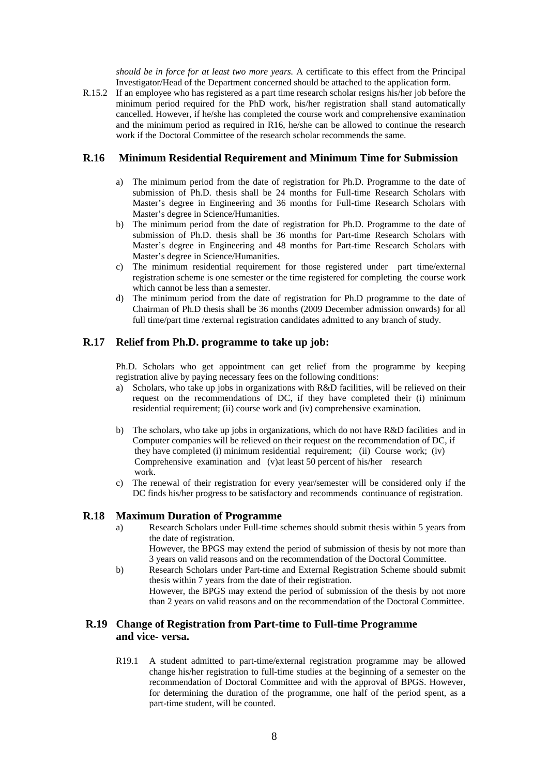*should be in force for at least two more years.* A certificate to this effect from the Principal Investigator/Head of the Department concerned should be attached to the application form.

R.15.2 If an employee who has registered as a part time research scholar resigns his/her job before the minimum period required for the PhD work, his/her registration shall stand automatically cancelled. However, if he/she has completed the course work and comprehensive examination and the minimum period as required in R16, he/she can be allowed to continue the research work if the Doctoral Committee of the research scholar recommends the same.

# **R.16 Minimum Residential Requirement and Minimum Time for Submission**

- a) The minimum period from the date of registration for Ph.D. Programme to the date of submission of Ph.D. thesis shall be 24 months for Full-time Research Scholars with Master's degree in Engineering and 36 months for Full-time Research Scholars with Master's degree in Science/Humanities.
- b) The minimum period from the date of registration for Ph.D. Programme to the date of submission of Ph.D. thesis shall be 36 months for Part-time Research Scholars with Master's degree in Engineering and 48 months for Part-time Research Scholars with Master's degree in Science/Humanities.
- c) The minimum residential requirement for those registered under part time/external registration scheme is one semester or the time registered for completing the course work which cannot be less than a semester.
- d) The minimum period from the date of registration for Ph.D programme to the date of Chairman of Ph.D thesis shall be 36 months (2009 December admission onwards) for all full time/part time /external registration candidates admitted to any branch of study.

# **R.17 Relief from Ph.D. programme to take up job:**

Ph.D. Scholars who get appointment can get relief from the programme by keeping registration alive by paying necessary fees on the following conditions:

- a) Scholars, who take up jobs in organizations with R&D facilities, will be relieved on their request on the recommendations of DC, if they have completed their (i) minimum residential requirement; (ii) course work and (iv) comprehensive examination.
- b) The scholars, who take up jobs in organizations, which do not have R&D facilities and in Computer companies will be relieved on their request on the recommendation of DC, if they have completed (i) minimum residential requirement; (ii) Course work; (iv) Comprehensive examination and (v)at least 50 percent of his/her research work.
- c) The renewal of their registration for every year/semester will be considered only if the DC finds his/her progress to be satisfactory and recommends continuance of registration.

#### **R.18 Maximum Duration of Programme**

a) Research Scholars under Full-time schemes should submit thesis within 5 years from the date of registration.

However, the BPGS may extend the period of submission of thesis by not more than 3 years on valid reasons and on the recommendation of the Doctoral Committee.

b) Research Scholars under Part-time and External Registration Scheme should submit thesis within 7 years from the date of their registration. However, the BPGS may extend the period of submission of the thesis by not more than 2 years on valid reasons and on the recommendation of the Doctoral Committee.

# **R.19 Change of Registration from Part-time to Full-time Programme and vice- versa.**

R19.1 A student admitted to part-time/external registration programme may be allowed change his/her registration to full-time studies at the beginning of a semester on the recommendation of Doctoral Committee and with the approval of BPGS. However, for determining the duration of the programme, one half of the period spent, as a part-time student, will be counted.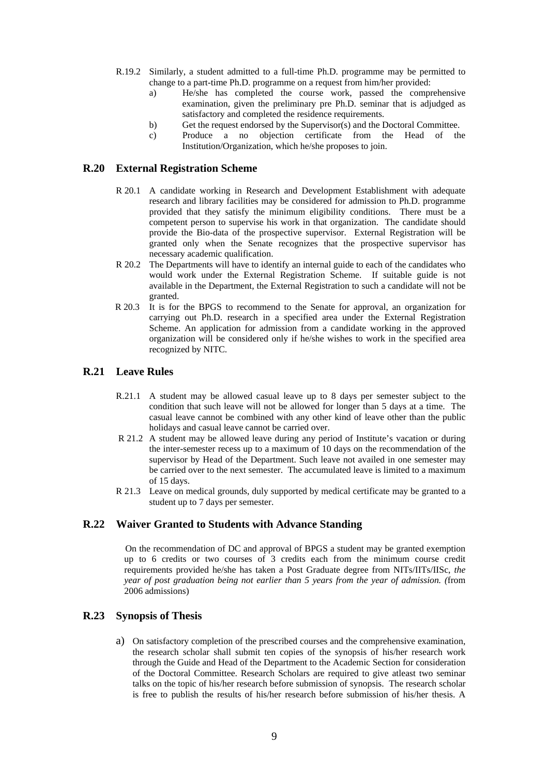- R.19.2 Similarly, a student admitted to a full-time Ph.D. programme may be permitted to change to a part-time Ph.D. programme on a request from him/her provided:
	- a) He/she has completed the course work, passed the comprehensive examination, given the preliminary pre Ph.D. seminar that is adjudged as satisfactory and completed the residence requirements.
	- b) Get the request endorsed by the Supervisor(s) and the Doctoral Committee.
	- c) Produce a no objection certificate from the Head of the Institution/Organization, which he/she proposes to join.

## **R.20 External Registration Scheme**

- R 20.1 A candidate working in Research and Development Establishment with adequate research and library facilities may be considered for admission to Ph.D. programme provided that they satisfy the minimum eligibility conditions. There must be a competent person to supervise his work in that organization. The candidate should provide the Bio-data of the prospective supervisor. External Registration will be granted only when the Senate recognizes that the prospective supervisor has necessary academic qualification.
- R 20.2 The Departments will have to identify an internal guide to each of the candidates who would work under the External Registration Scheme. If suitable guide is not available in the Department, the External Registration to such a candidate will not be granted.
- R 20.3 It is for the BPGS to recommend to the Senate for approval, an organization for carrying out Ph.D. research in a specified area under the External Registration Scheme. An application for admission from a candidate working in the approved organization will be considered only if he/she wishes to work in the specified area recognized by NITC.

### **R.21 Leave Rules**

- R.21.1 A student may be allowed casual leave up to 8 days per semester subject to the condition that such leave will not be allowed for longer than 5 days at a time. The casual leave cannot be combined with any other kind of leave other than the public holidays and casual leave cannot be carried over.
- R 21.2 A student may be allowed leave during any period of Institute's vacation or during the inter-semester recess up to a maximum of 10 days on the recommendation of the supervisor by Head of the Department. Such leave not availed in one semester may be carried over to the next semester. The accumulated leave is limited to a maximum of 15 days.
- R 21.3 Leave on medical grounds, duly supported by medical certificate may be granted to a student up to 7 days per semester.

## **R.22 Waiver Granted to Students with Advance Standing**

 On the recommendation of DC and approval of BPGS a student may be granted exemption up to 6 credits or two courses of 3 credits each from the minimum course credit requirements provided he/she has taken a Post Graduate degree from NITs/IITs/IISc, *the year of post graduation being not earlier than 5 years from the year of admission. (*from 2006 admissions)

# **R.23 Synopsis of Thesis**

a) On satisfactory completion of the prescribed courses and the comprehensive examination, the research scholar shall submit ten copies of the synopsis of his/her research work through the Guide and Head of the Department to the Academic Section for consideration of the Doctoral Committee. Research Scholars are required to give atleast two seminar talks on the topic of his/her research before submission of synopsis. The research scholar is free to publish the results of his/her research before submission of his/her thesis. A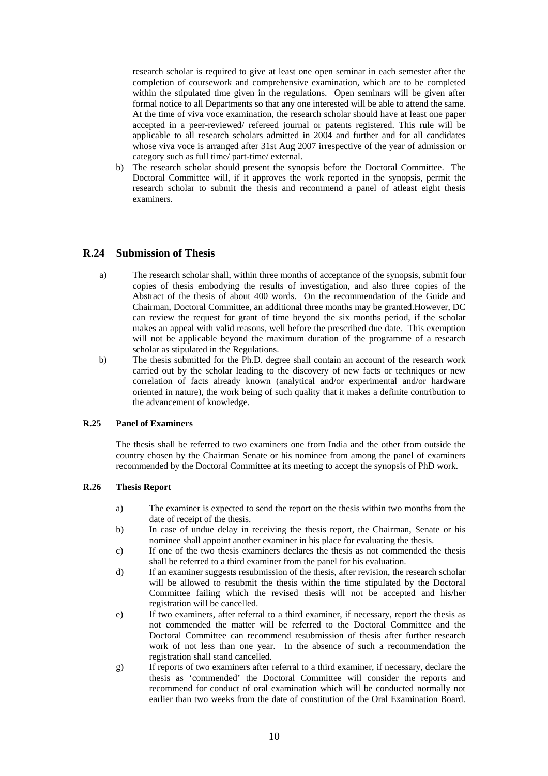research scholar is required to give at least one open seminar in each semester after the completion of coursework and comprehensive examination, which are to be completed within the stipulated time given in the regulations. Open seminars will be given after formal notice to all Departments so that any one interested will be able to attend the same. At the time of viva voce examination, the research scholar should have at least one paper accepted in a peer-reviewed/ refereed journal or patents registered. This rule will be applicable to all research scholars admitted in 2004 and further and for all candidates whose viva voce is arranged after 31st Aug 2007 irrespective of the year of admission or category such as full time/ part-time/ external.

b) The research scholar should present the synopsis before the Doctoral Committee. The Doctoral Committee will, if it approves the work reported in the synopsis, permit the research scholar to submit the thesis and recommend a panel of atleast eight thesis examiners.

# **R.24 Submission of Thesis**

- a) The research scholar shall, within three months of acceptance of the synopsis, submit four copies of thesis embodying the results of investigation, and also three copies of the Abstract of the thesis of about 400 words. On the recommendation of the Guide and Chairman, Doctoral Committee, an additional three months may be granted.However, DC can review the request for grant of time beyond the six months period, if the scholar makes an appeal with valid reasons, well before the prescribed due date. This exemption will not be applicable beyond the maximum duration of the programme of a research scholar as stipulated in the Regulations.
- b) The thesis submitted for the Ph.D. degree shall contain an account of the research work carried out by the scholar leading to the discovery of new facts or techniques or new correlation of facts already known (analytical and/or experimental and/or hardware oriented in nature), the work being of such quality that it makes a definite contribution to the advancement of knowledge.

#### **R.25 Panel of Examiners**

The thesis shall be referred to two examiners one from India and the other from outside the country chosen by the Chairman Senate or his nominee from among the panel of examiners recommended by the Doctoral Committee at its meeting to accept the synopsis of PhD work.

#### **R.26 Thesis Report**

- a) The examiner is expected to send the report on the thesis within two months from the date of receipt of the thesis.
- b) In case of undue delay in receiving the thesis report, the Chairman, Senate or his nominee shall appoint another examiner in his place for evaluating the thesis.
- c) If one of the two thesis examiners declares the thesis as not commended the thesis shall be referred to a third examiner from the panel for his evaluation.
- d) If an examiner suggests resubmission of the thesis, after revision, the research scholar will be allowed to resubmit the thesis within the time stipulated by the Doctoral Committee failing which the revised thesis will not be accepted and his/her registration will be cancelled.
- e) If two examiners, after referral to a third examiner, if necessary, report the thesis as not commended the matter will be referred to the Doctoral Committee and the Doctoral Committee can recommend resubmission of thesis after further research work of not less than one year. In the absence of such a recommendation the registration shall stand cancelled.
- g) If reports of two examiners after referral to a third examiner, if necessary, declare the thesis as 'commended' the Doctoral Committee will consider the reports and recommend for conduct of oral examination which will be conducted normally not earlier than two weeks from the date of constitution of the Oral Examination Board.